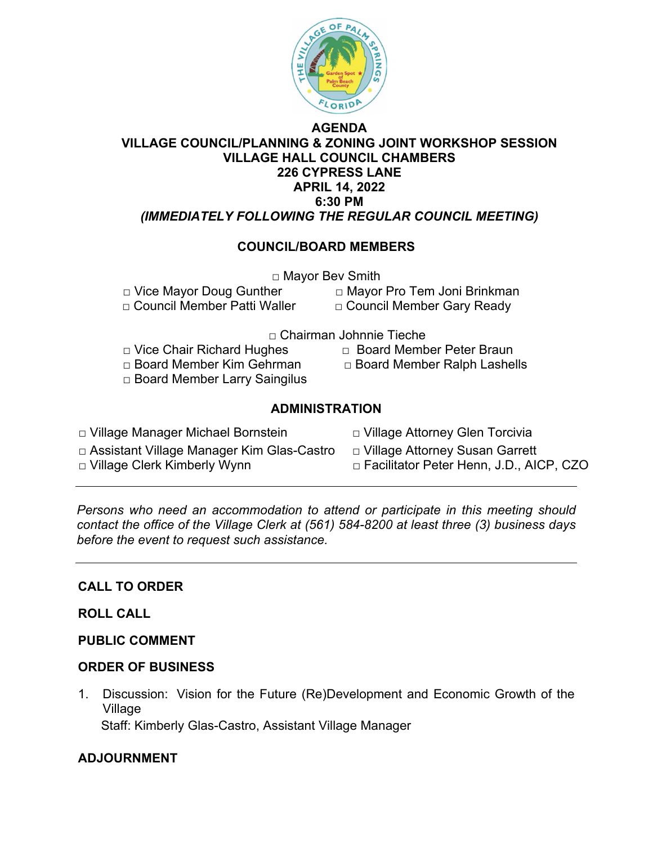

#### **AGENDA VILLAGE COUNCIL/PLANNING & ZONING JOINT WORKSHOP SESSION VILLAGE HALL COUNCIL CHAMBERS 226 CYPRESS LANE APRIL 14, 2022 6:30 PM**  *(IMMEDIATELY FOLLOWING THE REGULAR COUNCIL MEETING)*

## **COUNCIL/BOARD MEMBERS**

**□** Mayor Bev Smith

□ Vice Mayor Doug Gunther □ In Mayor Pro Tem Joni Brinkman

□ Council Member Patti Waller □ Council Member Gary Ready

 **□** Chairman Johnnie Tieche

- □ Vice Chair Richard Hughes □ Board Member Peter Braun □ Board Member Kim Gehrman □ Board Member Ralph Lashells
- □ Board Member Larry Saingilus

### **ADMINISTRATION**

- □ Village Manager Michael Bornstein □ Village Attorney Glen Torcivia □ Assistant Village Manager Kim Glas-Castro □ Village Attorney Susan Garrett □ Village Clerk Kimberly Wynn
	-
	-
	- □ Facilitator Peter Henn, J.D., AICP, CZO

*Persons who need an accommodation to attend or participate in this meeting should contact the office of the Village Clerk at (561) 584-8200 at least three (3) business days before the event to request such assistance.*

### **CALL TO ORDER**

#### **ROLL CALL**

#### **PUBLIC COMMENT**

#### **ORDER OF BUSINESS**

1. Discussion: Vision for the Future (Re)Development and Economic Growth of the Village

Staff: Kimberly Glas-Castro, Assistant Village Manager

### **ADJOURNMENT**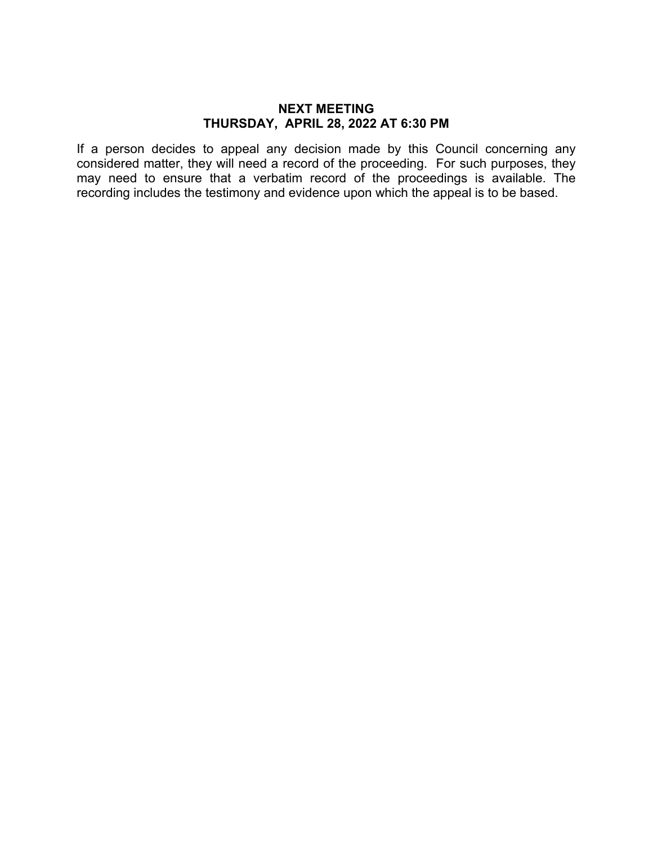#### **NEXT MEETING THURSDAY, APRIL 28, 2022 AT 6:30 PM**

If a person decides to appeal any decision made by this Council concerning any considered matter, they will need a record of the proceeding. For such purposes, they may need to ensure that a verbatim record of the proceedings is available. The recording includes the testimony and evidence upon which the appeal is to be based.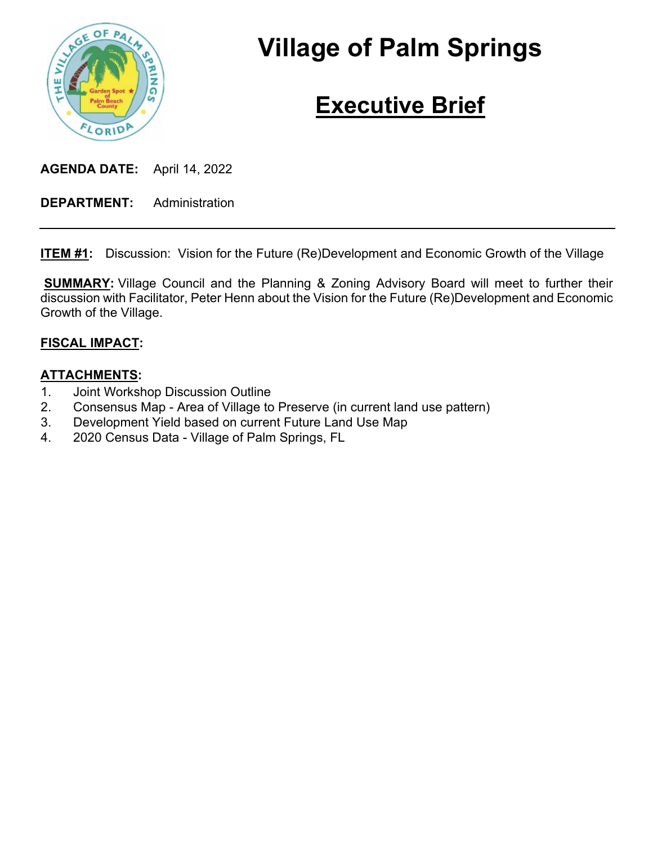

# **Village of Palm Springs**

## **Executive Brief**

## **AGENDA DATE:** April 14, 2022

**DEPARTMENT:** Administration

**ITEM #1:** Discussion: Vision for the Future (Re)Development and Economic Growth of the Village

**SUMMARY:** Village Council and the Planning & Zoning Advisory Board will meet to further their discussion with Facilitator, Peter Henn about the Vision for the Future (Re)Development and Economic Growth of the Village.

### **FISCAL IMPACT:**

#### **ATTACHMENTS:**

- 1. Joint Workshop Discussion Outline
- 2. Consensus Map Area of Village to Preserve (in current land use pattern)
- 3. Development Yield based on current Future Land Use Map
- 4. 2020 Census Data Village of Palm Springs, FL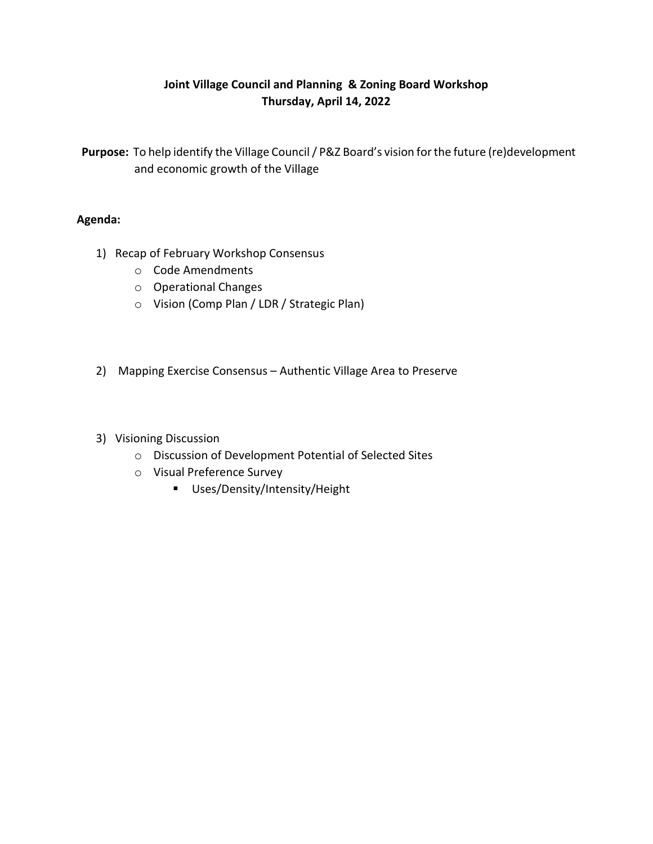### **Joint Village Council and Planning & Zoning Board Workshop Thursday, April 14, 2022**

**Purpose:** To help identify the Village Council / P&Z Board's vision for the future (re)development and economic growth of the Village

#### **Agenda:**

- 1) Recap of February Workshop Consensus
	- o Code Amendments
	- o Operational Changes
	- o Vision (Comp Plan / LDR / Strategic Plan)
- 2) Mapping Exercise Consensus Authentic Village Area to Preserve
- 3) Visioning Discussion
	- o Discussion of Development Potential of Selected Sites
	- o Visual Preference Survey
		- Uses/Density/Intensity/Height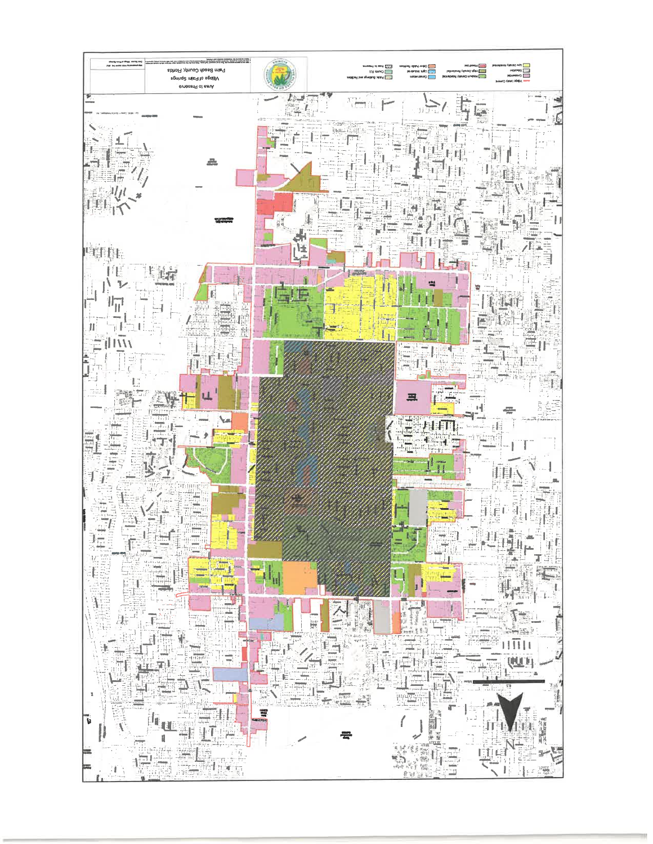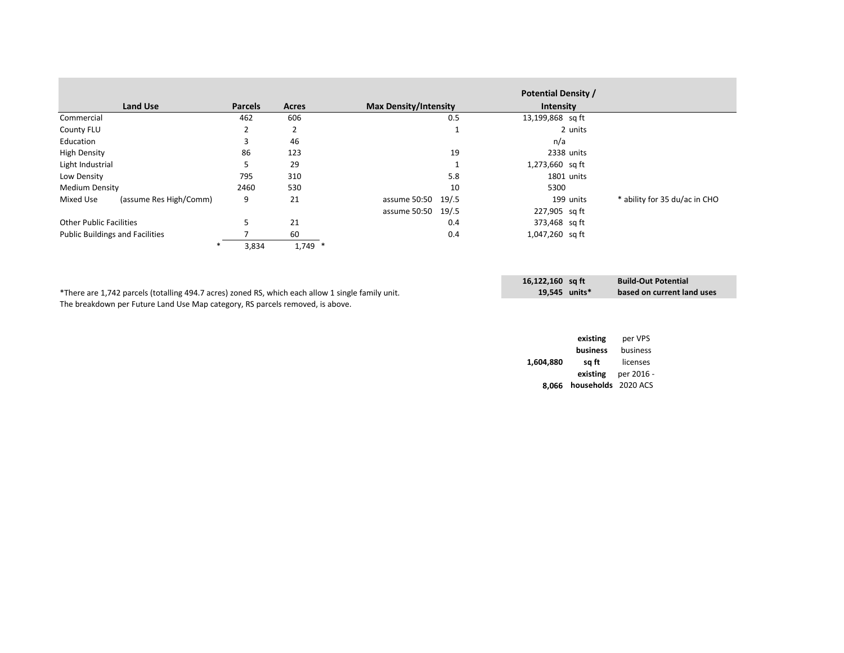|                                        |                |           |                              |       | <b>Potential Density /</b> |                               |
|----------------------------------------|----------------|-----------|------------------------------|-------|----------------------------|-------------------------------|
| <b>Land Use</b>                        | <b>Parcels</b> | Acres     | <b>Max Density/Intensity</b> |       | Intensity                  |                               |
| Commercial                             | 462            | 606       |                              | 0.5   | 13,199,868 sq ft           |                               |
| County FLU                             |                | 2         |                              | ÷     | 2 units                    |                               |
| Education                              | 3              | 46        |                              |       | n/a                        |                               |
| <b>High Density</b>                    | 86             | 123       |                              | 19    | 2338 units                 |                               |
| Light Industrial                       |                | 29        |                              |       | 1,273,660 sq ft            |                               |
| Low Density                            | 795            | 310       |                              | 5.8   | 1801 units                 |                               |
| <b>Medium Density</b>                  | 2460           | 530       |                              | 10    | 5300                       |                               |
| Mixed Use<br>(assume Res High/Comm)    | 9              | 21        | assume 50:50                 | 19/.5 | 199 units                  | * ability for 35 du/ac in CHO |
|                                        |                |           | assume 50:50                 | 19/5  | 227,905 sq ft              |                               |
| <b>Other Public Facilities</b>         | 5              | 21        |                              | 0.4   | 373,468 sq ft              |                               |
| <b>Public Buildings and Facilities</b> |                | 60        |                              | 0.4   | 1,047,260 sq ft            |                               |
|                                        | 3,834          | $1,749$ * |                              |       |                            |                               |

\*There are 1,742 parcels (totalling 494.7 acres) zoned RS, which each allow 1 single family unit. **19,545 units\* based on current land uses** The breakdown per Future Land Use Map category, RS parcels removed, is above.

| 16,122,160 sq ft | <b>Build-Out Potential</b> |
|------------------|----------------------------|
| 19.545 units*    | based on current land uses |

|           | existing                  | per VPS    |
|-----------|---------------------------|------------|
|           | business                  | business   |
| 1,604,880 | sa ft                     | licenses   |
|           | existing                  | per 2016 - |
|           | 8.066 households 2020 ACS |            |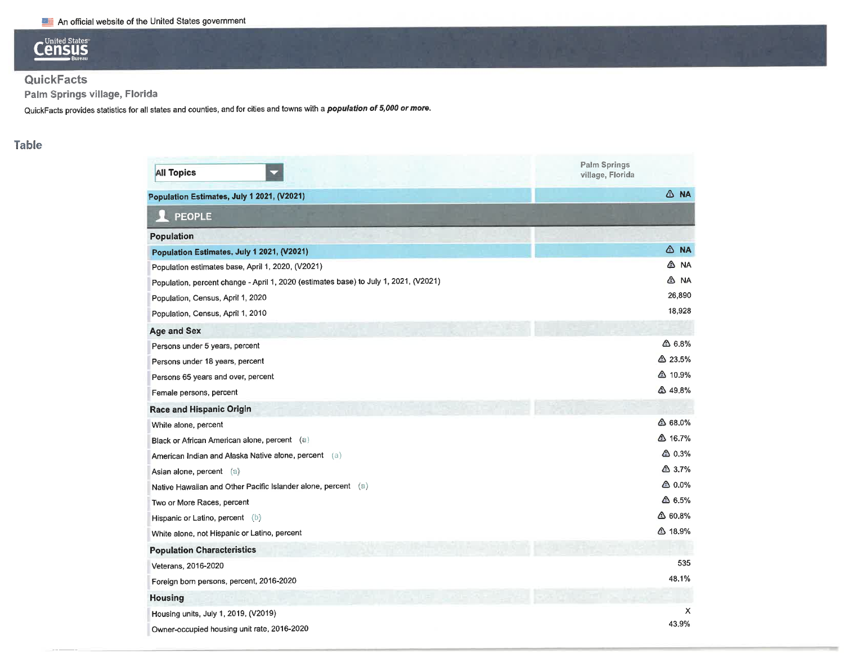## **Census**

#### QuickFacts

Palm Springs village, Florida

QuickFacts provides statistics for all states and counties, and for cities and towns with a population of 5,000 or more.

#### **Table**

| <b>All Topics</b>                                                                    | Palm Springs<br>village, Florida |
|--------------------------------------------------------------------------------------|----------------------------------|
| Population Estimates, July 1 2021, (V2021)                                           | $\triangle$ NA                   |
| <b>PEOPLE</b>                                                                        |                                  |
| <b>Population</b>                                                                    |                                  |
| Population Estimates, July 1 2021, (V2021)                                           | A NA                             |
| Population estimates base, April 1, 2020, (V2021)                                    | <b>ΔNA</b>                       |
| Population, percent change - April 1, 2020 (estimates base) to July 1, 2021, (V2021) | ∆ NA                             |
| Population, Census, April 1, 2020                                                    | 26,890                           |
| Population, Census, April 1, 2010                                                    | 18,928                           |
| <b>Age and Sex</b>                                                                   |                                  |
| Persons under 5 years, percent                                                       | $\Delta$ 6.8%                    |
| Persons under 18 years, percent                                                      | △ 23.5%                          |
| Persons 65 years and over, percent                                                   | ⚠ 10.9%                          |
| Female persons, percent                                                              | △ 49.8%                          |
| Race and Hispanic Origin                                                             |                                  |
| White alone, percent                                                                 | △ 68.0%                          |
| Black or African American alone, percent (a)                                         | △ 16.7%                          |
| American Indian and Alaska Native alone, percent (a)                                 | △ 0.3%                           |
| Asian alone, percent (a)                                                             | △ 3.7%                           |
| Native Hawaiian and Other Pacific Islander alone, percent (a)                        | $\triangle$ 0.0%                 |
| Two or More Races, percent                                                           | $\triangle$ 6.5%                 |
| Hispanic or Latino, percent (b)                                                      | △ 60.8%                          |
| White alone, not Hispanic or Latino, percent                                         | △ 18.9%                          |
| <b>Population Characteristics</b>                                                    |                                  |
| Veterans, 2016-2020                                                                  | 535                              |
| Foreign born persons, percent, 2016-2020                                             | 48.1%                            |
| <b>Housing</b>                                                                       |                                  |
| Housing units, July 1, 2019, (V2019)                                                 | X                                |
| Owner-occupied housing unit rate, 2016-2020                                          | 43.9%                            |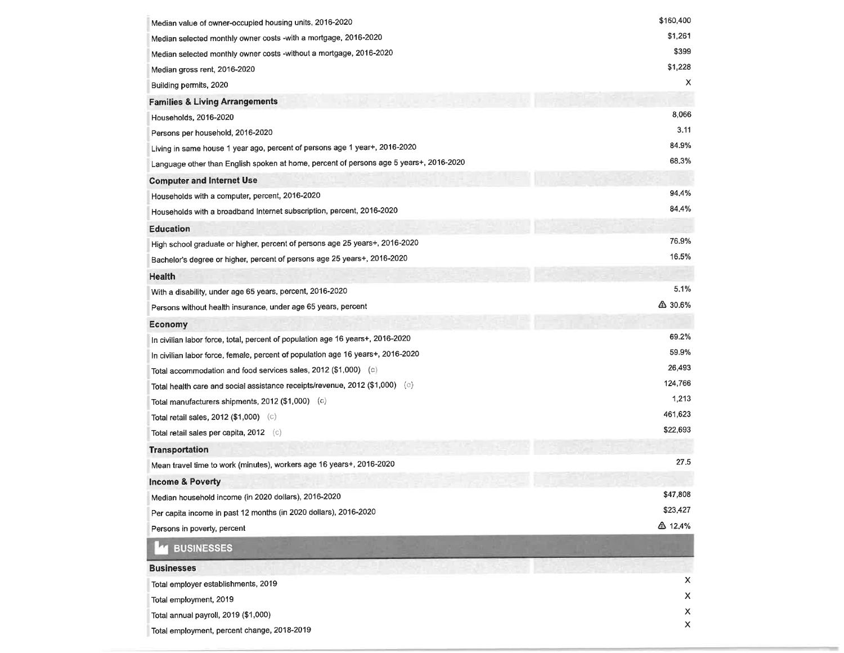| Median value of owner-occupied housing units, 2016-2020                                | \$160,400 |
|----------------------------------------------------------------------------------------|-----------|
| Median selected monthly owner costs -with a mortgage, 2016-2020                        | \$1,261   |
| Median selected monthly owner costs -without a mortgage, 2016-2020                     | \$399     |
| Median gross rent, 2016-2020                                                           | \$1,228   |
| Building permits, 2020                                                                 | x         |
| <b>Families &amp; Living Arrangements</b>                                              |           |
| Households, 2016-2020                                                                  | 8,066     |
| Persons per household, 2016-2020                                                       | 3.11      |
| Living in same house 1 year ago, percent of persons age 1 year+, 2016-2020             | 84.9%     |
| Language other than English spoken at home, percent of persons age 5 years+, 2016-2020 | 68.3%     |
| <b>Computer and Internet Use</b>                                                       |           |
| Households with a computer, percent, 2016-2020                                         | 94.4%     |
| Households with a broadband Internet subscription, percent, 2016-2020                  | 84.4%     |
| <b>Education</b>                                                                       |           |
| High school graduate or higher, percent of persons age 25 years+, 2016-2020            | 76.9%     |
| Bachelor's degree or higher, percent of persons age 25 years+, 2016-2020               | 16.5%     |
| <b>Health</b>                                                                          |           |
| With a disability, under age 65 years, percent, 2016-2020                              | 5.1%      |
| Persons without health insurance, under age 65 years, percent                          | △ 30.6%   |
| <b>Economy</b>                                                                         |           |
| In civilian labor force, total, percent of population age 16 years+, 2016-2020         | 69.2%     |
| In civilian labor force, female, percent of population age 16 years+, 2016-2020        | 59.9%     |
| Total accommodation and food services sales, $2012$ (\$1,000) (c)                      | 26,493    |
| Total health care and social assistance receipts/revenue, 2012 (\$1,000) (c)           | 124,766   |
| Total manufacturers shipments, 2012 (\$1,000) (c)                                      | 1,213     |
| Total retail sales, 2012 (\$1,000) (c)                                                 | 461,623   |
| Total retail sales per capita, 2012 (c)                                                | \$22,693  |
| <b>Transportation</b>                                                                  |           |
| Mean travel time to work (minutes), workers age 16 years+, 2016-2020                   | 27.5      |
| Income & Poverty                                                                       |           |
| Median household income (in 2020 dollars), 2016-2020                                   | \$47,808  |
| Per capita income in past 12 months (in 2020 dollars), 2016-2020                       | \$23,427  |
| Persons in poverty, percent                                                            | △ 12.4%   |
| <b>BUSINESSES</b>                                                                      |           |
| <b>Businesses</b>                                                                      |           |
| Total employer establishments, 2019                                                    | x         |
| Total employment, 2019                                                                 | x         |
| Total annual payroll, 2019 (\$1,000)                                                   | x         |
| Total employment, percent change, 2018-2019                                            | X         |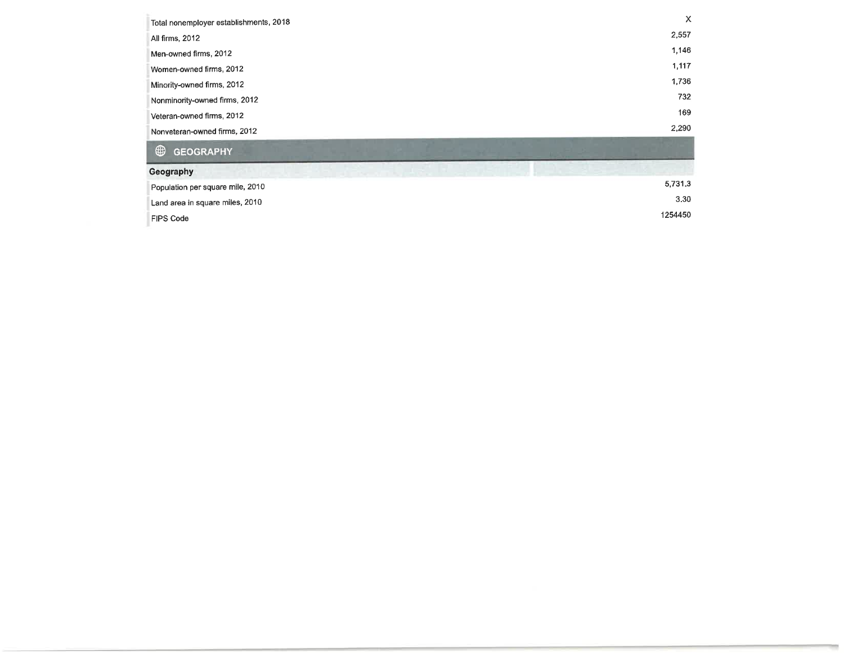| Total nonemployer establishments, 2018 | X       |
|----------------------------------------|---------|
| All firms, 2012                        | 2,557   |
| Men-owned firms, 2012                  | 1,146   |
| Women-owned firms, 2012                | 1,117   |
| Minority-owned firms, 2012             | 1,736   |
| Nonminority-owned firms, 2012          | 732     |
| Veteran-owned firms, 2012              | 169     |
| Nonveteran-owned firms, 2012           | 2,290   |
| $\bigoplus$<br><b>GEOGRAPHY</b>        |         |
| Geography                              |         |
| Population per square mile, 2010       | 5,731.3 |

3,30 Land area in square miles, 2010 1254450 FIPS Code